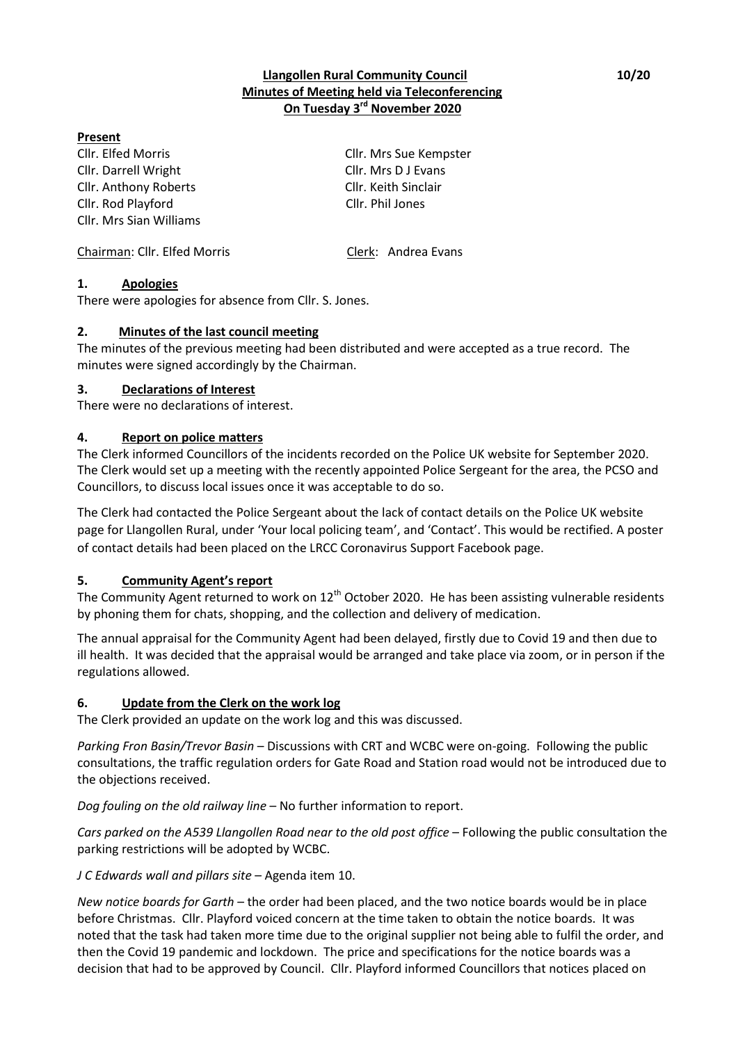### **Llangollen Rural Community Council 10/20 Minutes of Meeting held via Teleconferencing On Tuesday 3 rd November 2020**

### **Present**

Cllr. Elfed Morris Cllr. Mrs Sue Kempster Cllr. Darrell Wright Cllr. Mrs D J Evans Cllr. Anthony Roberts Cllr. Keith Sinclair Cllr. Rod Playford Cllr. Phil Jones Cllr. Mrs Sian Williams

Chairman: Cllr. Elfed Morris Clerk: Andrea Evans

### **1. Apologies**

There were apologies for absence from Cllr. S. Jones.

### **2. Minutes of the last council meeting**

The minutes of the previous meeting had been distributed and were accepted as a true record. The minutes were signed accordingly by the Chairman.

### **3. Declarations of Interest**

There were no declarations of interest.

### **4. Report on police matters**

The Clerk informed Councillors of the incidents recorded on the Police UK website for September 2020. The Clerk would set up a meeting with the recently appointed Police Sergeant for the area, the PCSO and Councillors, to discuss local issues once it was acceptable to do so.

The Clerk had contacted the Police Sergeant about the lack of contact details on the Police UK website page for Llangollen Rural, under 'Your local policing team', and 'Contact'. This would be rectified. A poster of contact details had been placed on the LRCC Coronavirus Support Facebook page.

### **5. Community Agent's report**

The Community Agent returned to work on 12<sup>th</sup> October 2020. He has been assisting vulnerable residents by phoning them for chats, shopping, and the collection and delivery of medication.

The annual appraisal for the Community Agent had been delayed, firstly due to Covid 19 and then due to ill health. It was decided that the appraisal would be arranged and take place via zoom, or in person if the regulations allowed.

### **6. Update from the Clerk on the work log**

The Clerk provided an update on the work log and this was discussed.

*Parking Fron Basin/Trevor Basin* – Discussions with CRT and WCBC were on-going. Following the public consultations, the traffic regulation orders for Gate Road and Station road would not be introduced due to the objections received.

*Dog fouling on the old railway line* – No further information to report.

*Cars parked on the A539 Llangollen Road near to the old post office* – Following the public consultation the parking restrictions will be adopted by WCBC.

### *J C Edwards wall and pillars site* – Agenda item 10.

*New notice boards for Garth* – the order had been placed, and the two notice boards would be in place before Christmas. Cllr. Playford voiced concern at the time taken to obtain the notice boards. It was noted that the task had taken more time due to the original supplier not being able to fulfil the order, and then the Covid 19 pandemic and lockdown. The price and specifications for the notice boards was a decision that had to be approved by Council. Cllr. Playford informed Councillors that notices placed on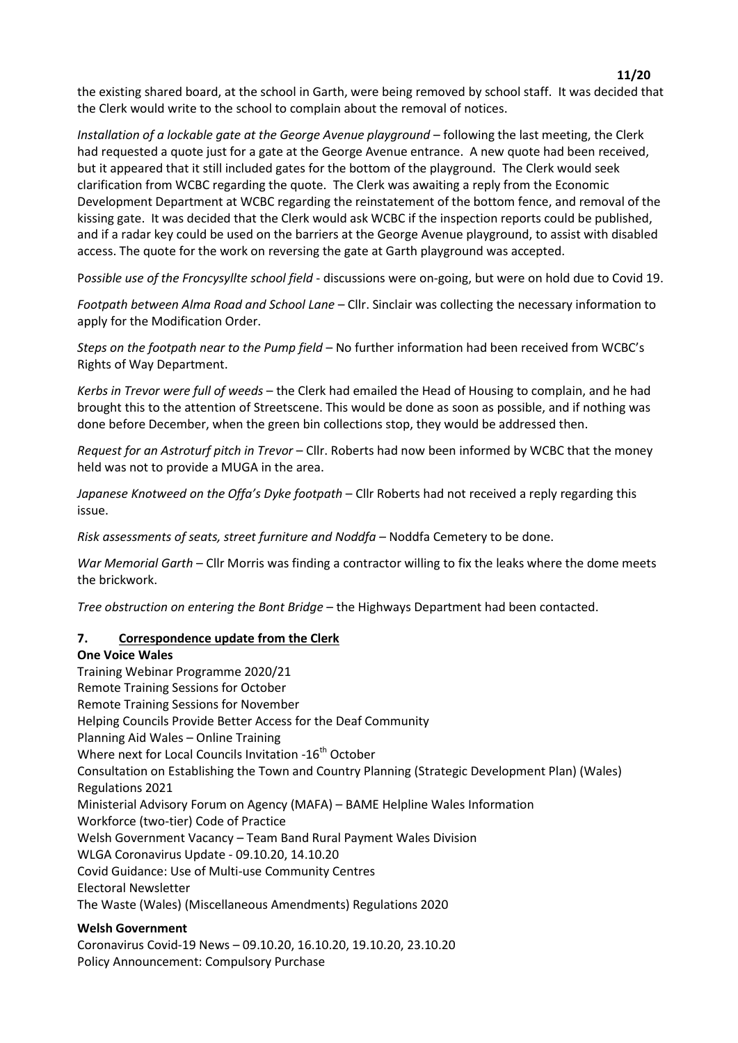the existing shared board, at the school in Garth, were being removed by school staff. It was decided that the Clerk would write to the school to complain about the removal of notices.

*Installation of a lockable gate at the George Avenue playground* – following the last meeting, the Clerk had requested a quote just for a gate at the George Avenue entrance. A new quote had been received, but it appeared that it still included gates for the bottom of the playground. The Clerk would seek clarification from WCBC regarding the quote. The Clerk was awaiting a reply from the Economic Development Department at WCBC regarding the reinstatement of the bottom fence, and removal of the kissing gate. It was decided that the Clerk would ask WCBC if the inspection reports could be published, and if a radar key could be used on the barriers at the George Avenue playground, to assist with disabled access. The quote for the work on reversing the gate at Garth playground was accepted.

P*ossible use of the Froncysyllte school field* - discussions were on-going, but were on hold due to Covid 19.

*Footpath between Alma Road and School Lane* – Cllr. Sinclair was collecting the necessary information to apply for the Modification Order.

*Steps on the footpath near to the Pump field* – No further information had been received from WCBC's Rights of Way Department.

*Kerbs in Trevor were full of weeds* – the Clerk had emailed the Head of Housing to complain, and he had brought this to the attention of Streetscene. This would be done as soon as possible, and if nothing was done before December, when the green bin collections stop, they would be addressed then.

*Request for an Astroturf pitch in Trevor* – Cllr. Roberts had now been informed by WCBC that the money held was not to provide a MUGA in the area.

*Japanese Knotweed on the Offa's Dyke footpath* – Cllr Roberts had not received a reply regarding this issue.

*Risk assessments of seats, street furniture and Noddfa –* Noddfa Cemetery to be done.

*War Memorial Garth* – Cllr Morris was finding a contractor willing to fix the leaks where the dome meets the brickwork.

*Tree obstruction on entering the Bont Bridge* – the Highways Department had been contacted.

#### **7. Correspondence update from the Clerk**

#### **One Voice Wales**

Training Webinar Programme 2020/21 Remote Training Sessions for October Remote Training Sessions for November Helping Councils Provide Better Access for the Deaf Community Planning Aid Wales – Online Training Where next for Local Councils Invitation -16<sup>th</sup> October Consultation on Establishing the Town and Country Planning (Strategic Development Plan) (Wales) Regulations 2021 Ministerial Advisory Forum on Agency (MAFA) – BAME Helpline Wales Information Workforce (two-tier) Code of Practice Welsh Government Vacancy – Team Band Rural Payment Wales Division WLGA Coronavirus Update - 09.10.20, 14.10.20 Covid Guidance: Use of Multi-use Community Centres Electoral Newsletter The Waste (Wales) (Miscellaneous Amendments) Regulations 2020

#### **Welsh Government**

Coronavirus Covid-19 News – 09.10.20, 16.10.20, 19.10.20, 23.10.20 Policy Announcement: Compulsory Purchase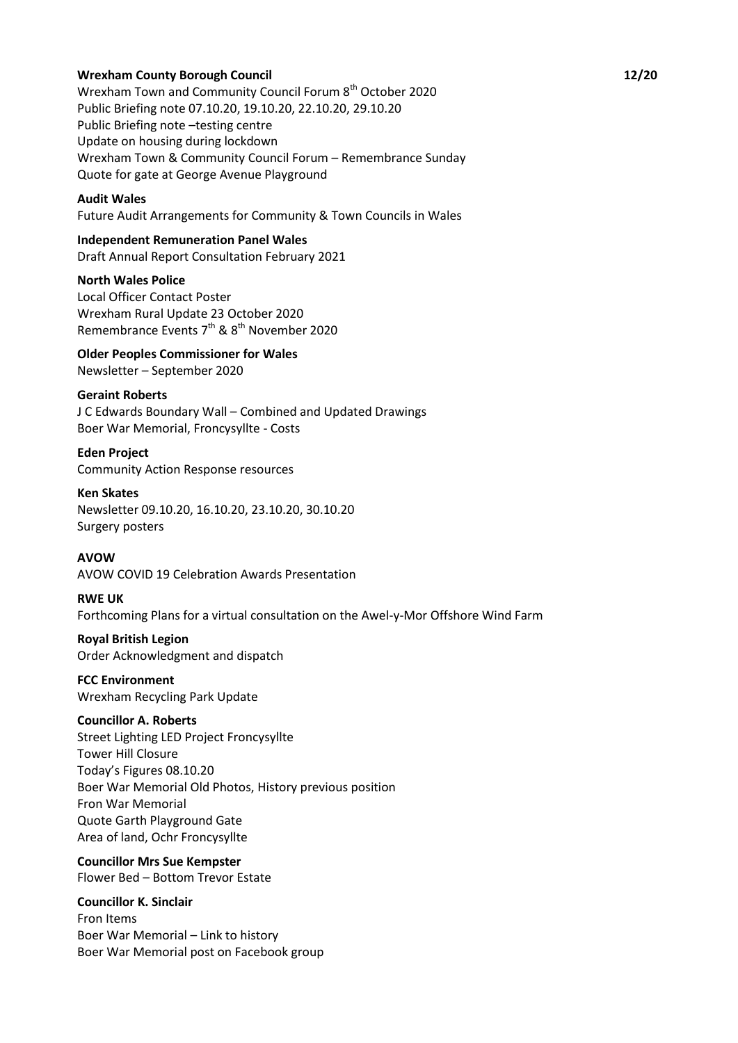#### **Wrexham County Borough Council 12/20**

Wrexham Town and Community Council Forum 8th October 2020 Public Briefing note 07.10.20, 19.10.20, 22.10.20, 29.10.20 Public Briefing note –testing centre Update on housing during lockdown Wrexham Town & Community Council Forum – Remembrance Sunday Quote for gate at George Avenue Playground

#### **Audit Wales**

Future Audit Arrangements for Community & Town Councils in Wales

# **Independent Remuneration Panel Wales**

Draft Annual Report Consultation February 2021

**North Wales Police** Local Officer Contact Poster

Wrexham Rural Update 23 October 2020 Remembrance Events  $7<sup>th</sup>$  &  $8<sup>th</sup>$  November 2020

**Older Peoples Commissioner for Wales**

Newsletter – September 2020

#### **Geraint Roberts**

J C Edwards Boundary Wall – Combined and Updated Drawings Boer War Memorial, Froncysyllte - Costs

**Eden Project** Community Action Response resources

#### **Ken Skates**

Newsletter 09.10.20, 16.10.20, 23.10.20, 30.10.20 Surgery posters

#### **AVOW**

AVOW COVID 19 Celebration Awards Presentation

#### **RWE UK**

Forthcoming Plans for a virtual consultation on the Awel-y-Mor Offshore Wind Farm

**Royal British Legion** Order Acknowledgment and dispatch

**FCC Environment** Wrexham Recycling Park Update

#### **Councillor A. Roberts**

Street Lighting LED Project Froncysyllte Tower Hill Closure Today's Figures 08.10.20 Boer War Memorial Old Photos, History previous position Fron War Memorial Quote Garth Playground Gate Area of land, Ochr Froncysyllte

**Councillor Mrs Sue Kempster** Flower Bed – Bottom Trevor Estate

**Councillor K. Sinclair** Fron Items Boer War Memorial – Link to history Boer War Memorial post on Facebook group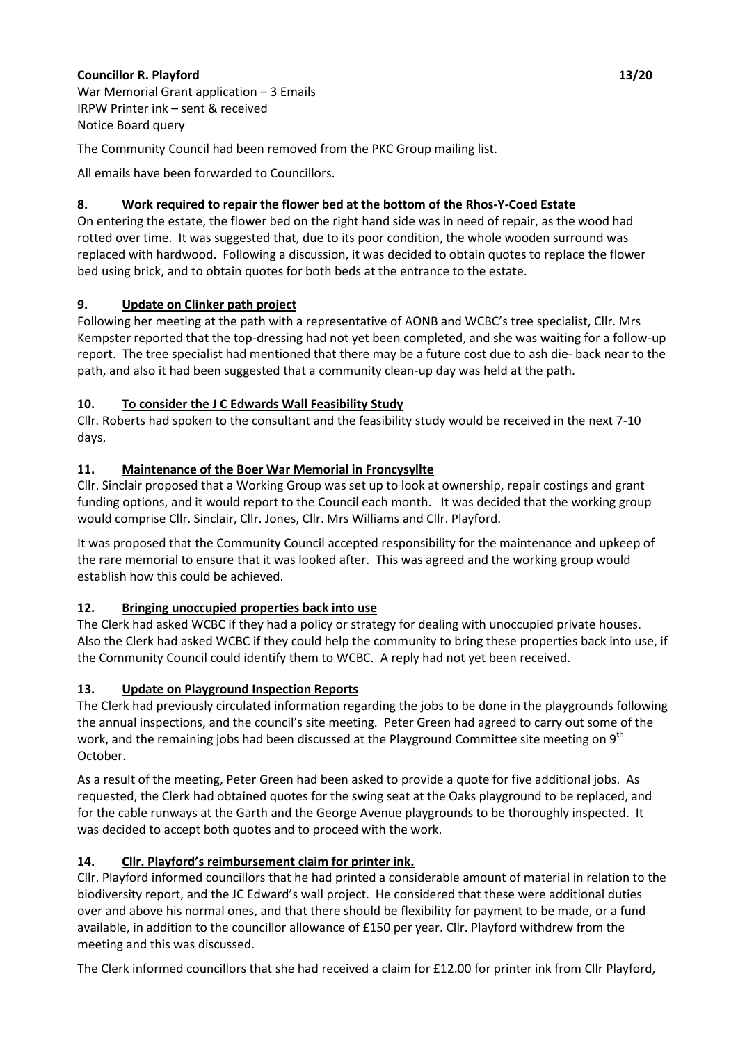# **Councillor R. Playford 13/20**

War Memorial Grant application – 3 Emails IRPW Printer ink – sent & received Notice Board query

The Community Council had been removed from the PKC Group mailing list.

All emails have been forwarded to Councillors.

# **8. Work required to repair the flower bed at the bottom of the Rhos-Y-Coed Estate**

On entering the estate, the flower bed on the right hand side was in need of repair, as the wood had rotted over time. It was suggested that, due to its poor condition, the whole wooden surround was replaced with hardwood. Following a discussion, it was decided to obtain quotes to replace the flower bed using brick, and to obtain quotes for both beds at the entrance to the estate.

# **9. Update on Clinker path project**

Following her meeting at the path with a representative of AONB and WCBC's tree specialist, Cllr. Mrs Kempster reported that the top-dressing had not yet been completed, and she was waiting for a follow-up report. The tree specialist had mentioned that there may be a future cost due to ash die- back near to the path, and also it had been suggested that a community clean-up day was held at the path.

# **10. To consider the J C Edwards Wall Feasibility Study**

Cllr. Roberts had spoken to the consultant and the feasibility study would be received in the next 7-10 days.

# **11. Maintenance of the Boer War Memorial in Froncysyllte**

Cllr. Sinclair proposed that a Working Group was set up to look at ownership, repair costings and grant funding options, and it would report to the Council each month. It was decided that the working group would comprise Cllr. Sinclair, Cllr. Jones, Cllr. Mrs Williams and Cllr. Playford.

It was proposed that the Community Council accepted responsibility for the maintenance and upkeep of the rare memorial to ensure that it was looked after. This was agreed and the working group would establish how this could be achieved.

# **12. Bringing unoccupied properties back into use**

The Clerk had asked WCBC if they had a policy or strategy for dealing with unoccupied private houses. Also the Clerk had asked WCBC if they could help the community to bring these properties back into use, if the Community Council could identify them to WCBC. A reply had not yet been received.

# **13. Update on Playground Inspection Reports**

The Clerk had previously circulated information regarding the jobs to be done in the playgrounds following the annual inspections, and the council's site meeting. Peter Green had agreed to carry out some of the work, and the remaining jobs had been discussed at the Playground Committee site meeting on 9<sup>th</sup> October.

As a result of the meeting, Peter Green had been asked to provide a quote for five additional jobs. As requested, the Clerk had obtained quotes for the swing seat at the Oaks playground to be replaced, and for the cable runways at the Garth and the George Avenue playgrounds to be thoroughly inspected. It was decided to accept both quotes and to proceed with the work.

# **14. Cllr. Playford's reimbursement claim for printer ink.**

Cllr. Playford informed councillors that he had printed a considerable amount of material in relation to the biodiversity report, and the JC Edward's wall project. He considered that these were additional duties over and above his normal ones, and that there should be flexibility for payment to be made, or a fund available, in addition to the councillor allowance of £150 per year. Cllr. Playford withdrew from the meeting and this was discussed.

The Clerk informed councillors that she had received a claim for £12.00 for printer ink from Cllr Playford,